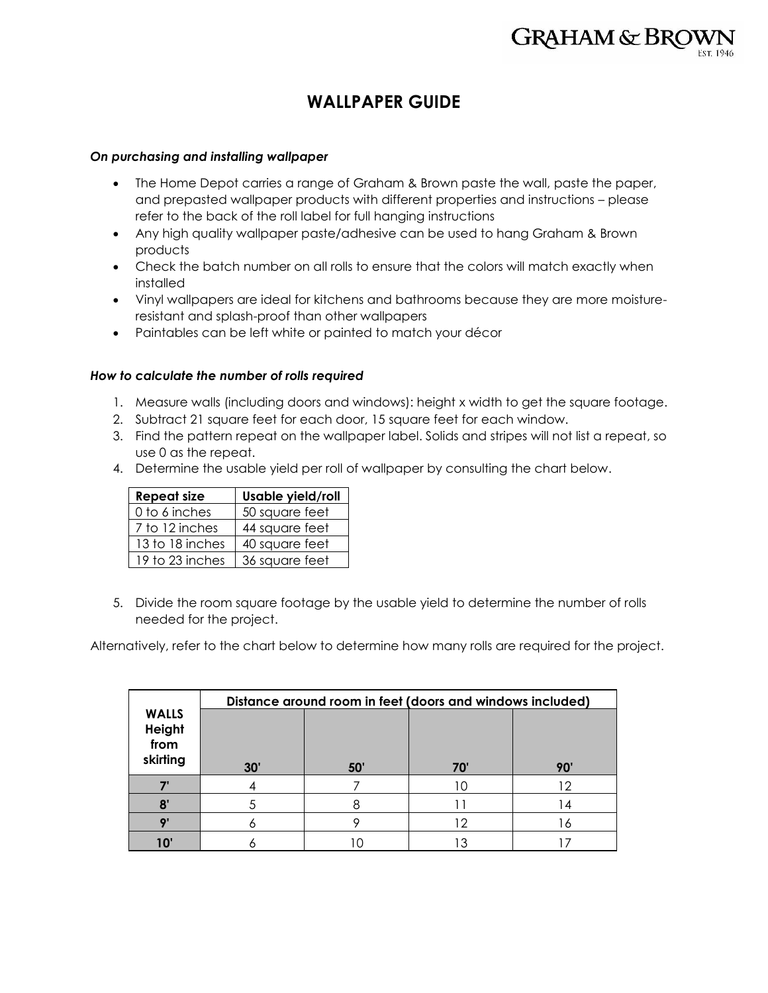# **WALLPAPER GUIDE**

### *On purchasing and installing wallpaper*

- The Home Depot carries a range of Graham & Brown paste the wall, paste the paper, and prepasted wallpaper products with different properties and instructions – please refer to the back of the roll label for full hanging instructions
- Any high quality wallpaper paste/adhesive can be used to hang Graham & Brown products
- Check the batch number on all rolls to ensure that the colors will match exactly when installed
- Vinyl wallpapers are ideal for kitchens and bathrooms because they are more moistureresistant and splash-proof than other wallpapers
- Paintables can be left white or painted to match your décor

## *How to calculate the number of rolls required*

- 1. Measure walls (including doors and windows): height x width to get the square footage.
- 2. Subtract 21 square feet for each door, 15 square feet for each window.
- 3. Find the pattern repeat on the wallpaper label. Solids and stripes will not list a repeat, so use 0 as the repeat.
- 4. Determine the usable yield per roll of wallpaper by consulting the chart below.

| <b>Repeat size</b> | Usable yield/roll |  |  |
|--------------------|-------------------|--|--|
| 0 to 6 inches      | 50 square feet    |  |  |
| 7 to 12 inches     | 44 square feet    |  |  |
| 13 to 18 inches    | 40 square feet    |  |  |
| 19 to 23 inches    | 36 square feet    |  |  |

5. Divide the room square footage by the usable yield to determine the number of rolls needed for the project.

Alternatively, refer to the chart below to determine how many rolls are required for the project.

|                                            | Distance around room in feet (doors and windows included) |    |    |    |  |
|--------------------------------------------|-----------------------------------------------------------|----|----|----|--|
| <b>WALLS</b><br>Height<br>from<br>skirting | 30'                                                       | 50 | 70 | 90 |  |
|                                            |                                                           |    | 10 | 12 |  |
| 8'                                         |                                                           |    |    | 4  |  |
| $\mathbf{C}$                               |                                                           |    | 12 |    |  |
|                                            |                                                           |    |    |    |  |